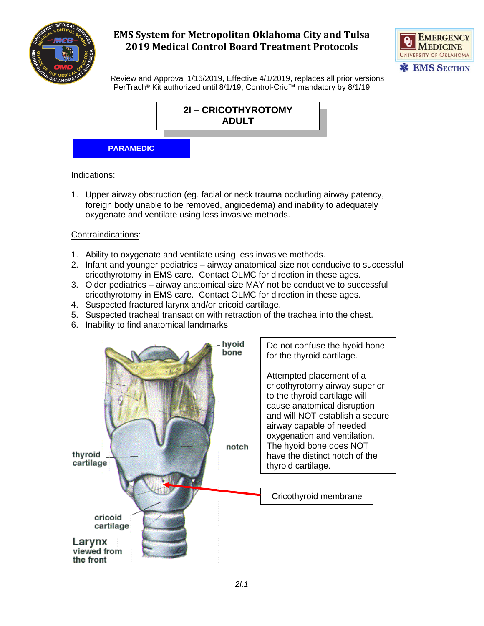



 Review and Approval 1/16/2019, Effective 4/1/2019, replaces all prior versions PerTrach<sup>®</sup> Kit authorized until 8/1/19; Control-Cric™ mandatory by 8/1/19



#### Indications:

1. Upper airway obstruction (eg. facial or neck trauma occluding airway patency, foreign body unable to be removed, angioedema) and inability to adequately oxygenate and ventilate using less invasive methods.

### Contraindications:

- 1. Ability to oxygenate and ventilate using less invasive methods.
- 2. Infant and younger pediatrics airway anatomical size not conducive to successful cricothyrotomy in EMS care. Contact OLMC for direction in these ages.
- 3. Older pediatrics airway anatomical size MAY not be conductive to successful cricothyrotomy in EMS care. Contact OLMC for direction in these ages.
- 4. Suspected fractured larynx and/or cricoid cartilage.
- 5. Suspected tracheal transaction with retraction of the trachea into the chest.
- 6. Inability to find anatomical landmarks

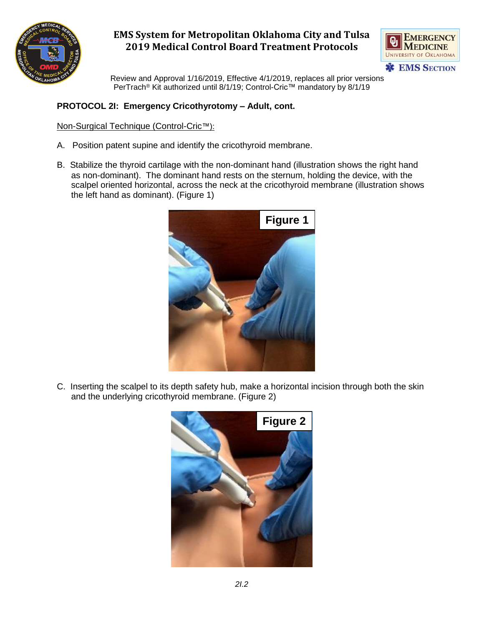



 Review and Approval 1/16/2019, Effective 4/1/2019, replaces all prior versions PerTrach<sup>®</sup> Kit authorized until 8/1/19; Control-Cric™ mandatory by 8/1/19

## **PROTOCOL 2I: Emergency Cricothyrotomy – Adult, cont.**

### Non-Surgical Technique (Control-Cric™):

- A. Position patent supine and identify the cricothyroid membrane.
- B. Stabilize the thyroid cartilage with the non-dominant hand (illustration shows the right hand as non-dominant). The dominant hand rests on the sternum, holding the device, with the scalpel oriented horizontal, across the neck at the cricothyroid membrane (illustration shows the left hand as dominant). (Figure 1)



C. Inserting the scalpel to its depth safety hub, make a horizontal incision through both the skin and the underlying cricothyroid membrane. (Figure 2)

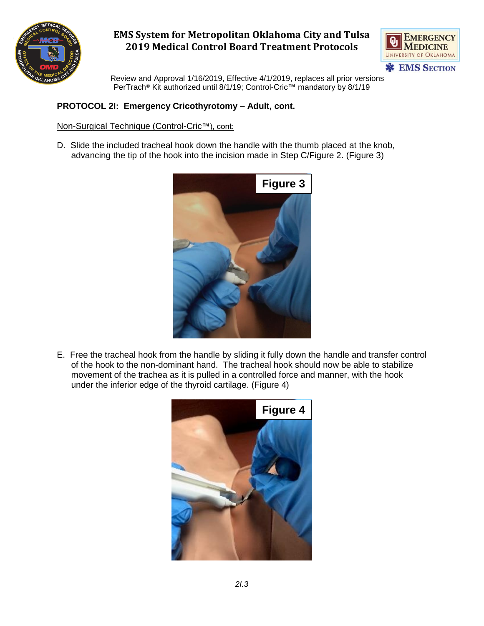



 Review and Approval 1/16/2019, Effective 4/1/2019, replaces all prior versions PerTrach<sup>®</sup> Kit authorized until 8/1/19; Control-Cric™ mandatory by 8/1/19

### **PROTOCOL 2I: Emergency Cricothyrotomy – Adult, cont.**

### Non-Surgical Technique (Control-Cric™), cont:

D. Slide the included tracheal hook down the handle with the thumb placed at the knob, advancing the tip of the hook into the incision made in Step C/Figure 2. (Figure 3)



E. Free the tracheal hook from the handle by sliding it fully down the handle and transfer control of the hook to the non-dominant hand. The tracheal hook should now be able to stabilize movement of the trachea as it is pulled in a controlled force and manner, with the hook under the inferior edge of the thyroid cartilage. (Figure 4)

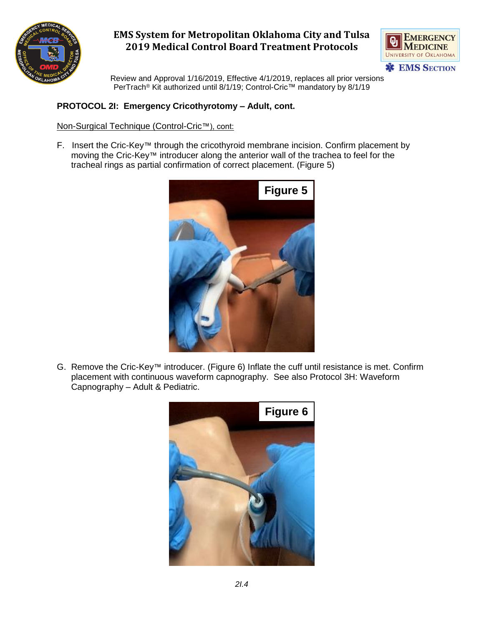



 Review and Approval 1/16/2019, Effective 4/1/2019, replaces all prior versions PerTrach<sup>®</sup> Kit authorized until 8/1/19; Control-Cric™ mandatory by 8/1/19

## **PROTOCOL 2I: Emergency Cricothyrotomy – Adult, cont.**

#### Non-Surgical Technique (Control-Cric™), cont:

F. Insert the Cric-Key™ through the cricothyroid membrane incision. Confirm placement by moving the Cric-Key™ introducer along the anterior wall of the trachea to feel for the tracheal rings as partial confirmation of correct placement. (Figure 5)



G. Remove the Cric-Key™ introducer. (Figure 6) Inflate the cuff until resistance is met. Confirm placement with continuous waveform capnography. See also Protocol 3H: Waveform Capnography – Adult & Pediatric.

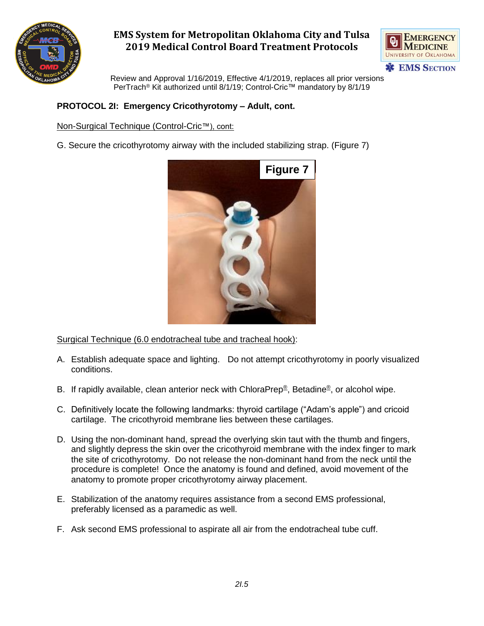



 Review and Approval 1/16/2019, Effective 4/1/2019, replaces all prior versions PerTrach<sup>®</sup> Kit authorized until 8/1/19; Control-Cric™ mandatory by 8/1/19

### **PROTOCOL 2I: Emergency Cricothyrotomy – Adult, cont.**

#### Non-Surgical Technique (Control-Cric™), cont:

G. Secure the cricothyrotomy airway with the included stabilizing strap. (Figure 7)



Surgical Technique (6.0 endotracheal tube and tracheal hook):

- A. Establish adequate space and lighting. Do not attempt cricothyrotomy in poorly visualized conditions.
- B. If rapidly available, clean anterior neck with ChloraPrep®, Betadine®, or alcohol wipe.
- C. Definitively locate the following landmarks: thyroid cartilage ("Adam's apple") and cricoid cartilage. The cricothyroid membrane lies between these cartilages.
- D. Using the non-dominant hand, spread the overlying skin taut with the thumb and fingers, and slightly depress the skin over the cricothyroid membrane with the index finger to mark the site of cricothyrotomy. Do not release the non-dominant hand from the neck until the procedure is complete! Once the anatomy is found and defined, avoid movement of the anatomy to promote proper cricothyrotomy airway placement.
- E. Stabilization of the anatomy requires assistance from a second EMS professional, preferably licensed as a paramedic as well.
- F. Ask second EMS professional to aspirate all air from the endotracheal tube cuff.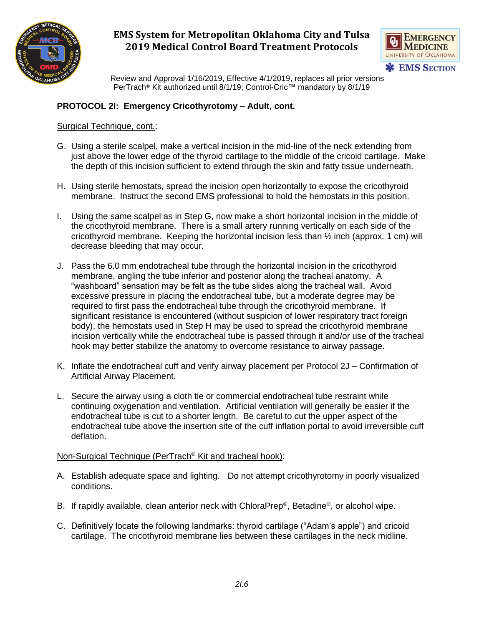



 Review and Approval 1/16/2019, Effective 4/1/2019, replaces all prior versions PerTrach<sup>®</sup> Kit authorized until 8/1/19; Control-Cric™ mandatory by 8/1/19

### **PROTOCOL 2I: Emergency Cricothyrotomy – Adult, cont.**

#### Surgical Technique, cont.:

- G. Using a sterile scalpel, make a vertical incision in the mid-line of the neck extending from just above the lower edge of the thyroid cartilage to the middle of the cricoid cartilage. Make the depth of this incision sufficient to extend through the skin and fatty tissue underneath.
- H. Using sterile hemostats, spread the incision open horizontally to expose the cricothyroid membrane. Instruct the second EMS professional to hold the hemostats in this position.
- I. Using the same scalpel as in Step G, now make a short horizontal incision in the middle of the cricothyroid membrane. There is a small artery running vertically on each side of the cricothyroid membrane. Keeping the horizontal incision less than  $\frac{1}{2}$  inch (approx. 1 cm) will decrease bleeding that may occur.
- J. Pass the 6.0 mm endotracheal tube through the horizontal incision in the cricothyroid membrane, angling the tube inferior and posterior along the tracheal anatomy. A "washboard" sensation may be felt as the tube slides along the tracheal wall. Avoid excessive pressure in placing the endotracheal tube, but a moderate degree may be required to first pass the endotracheal tube through the cricothyroid membrane. If significant resistance is encountered (without suspicion of lower respiratory tract foreign body), the hemostats used in Step H may be used to spread the cricothyroid membrane incision vertically while the endotracheal tube is passed through it and/or use of the tracheal hook may better stabilize the anatomy to overcome resistance to airway passage.
- K. Inflate the endotracheal cuff and verify airway placement per Protocol 2J Confirmation of Artificial Airway Placement.
- L. Secure the airway using a cloth tie or commercial endotracheal tube restraint while continuing oxygenation and ventilation. Artificial ventilation will generally be easier if the endotracheal tube is cut to a shorter length. Be careful to cut the upper aspect of the endotracheal tube above the insertion site of the cuff inflation portal to avoid irreversible cuff deflation.

#### Non-Surgical Technique (PerTrach® Kit and tracheal hook):

- A. Establish adequate space and lighting. Do not attempt cricothyrotomy in poorly visualized conditions.
- B. If rapidly available, clean anterior neck with ChloraPrep®, Betadine®, or alcohol wipe.
- C. Definitively locate the following landmarks: thyroid cartilage ("Adam's apple") and cricoid cartilage. The cricothyroid membrane lies between these cartilages in the neck midline.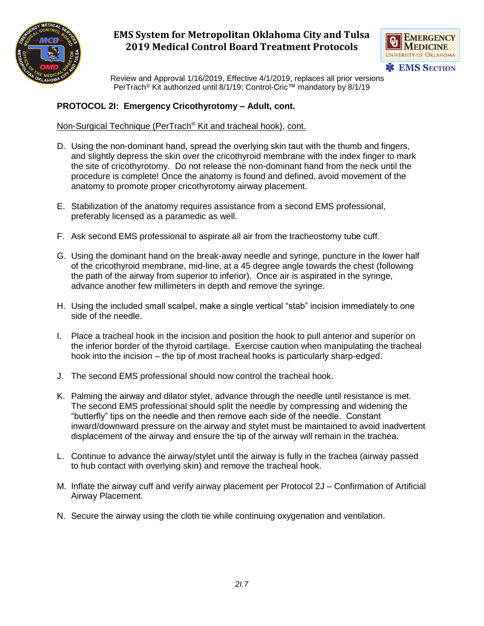



 Review and Approval 1/16/2019, Effective 4/1/2019, replaces all prior versions PerTrach® Kit authorized until 8/1/19; Control-Cric™ mandatory by 8/1/19

## **PROTOCOL 2I: Emergency Cricothyrotomy – Adult, cont.**

### Non-Surgical Technique (PerTrach® Kit and tracheal hook), cont.

- D. Using the non-dominant hand, spread the overlying skin taut with the thumb and fingers, and slightly depress the skin over the cricothyroid membrane with the index finger to mark the site of cricothyrotomy. Do not release the non-dominant hand from the neck until the procedure is complete! Once the anatomy is found and defined, avoid movement of the anatomy to promote proper cricothyrotomy airway placement.
- E. Stabilization of the anatomy requires assistance from a second EMS professional, preferably licensed as a paramedic as well.
- F. Ask second EMS professional to aspirate all air from the tracheostomy tube cuff.
- G. Using the dominant hand on the break-away needle and syringe, puncture in the lower half of the cricothyroid membrane, mid-line, at a 45 degree angle towards the chest (following the path of the airway from superior to inferior). Once air is aspirated in the syringe, advance another few millimeters in depth and remove the syringe.
- H. Using the included small scalpel, make a single vertical "stab" incision immediately to one side of the needle.
- I. Place a tracheal hook in the incision and position the hook to pull anterior and superior on the inferior border of the thyroid cartilage. Exercise caution when manipulating the tracheal hook into the incision – the tip of most tracheal hooks is particularly sharp-edged.
- J. The second EMS professional should now control the tracheal hook.
- K. Palming the airway and dilator stylet, advance through the needle until resistance is met. The second EMS professional should split the needle by compressing and widening the "butterfly" tips on the needle and then remove each side of the needle. Constant inward/downward pressure on the airway and stylet must be maintained to avoid inadvertent displacement of the airway and ensure the tip of the airway will remain in the trachea.
- L. Continue to advance the airway/stylet until the airway is fully in the trachea (airway passed to hub contact with overlying skin) and remove the tracheal hook.
- M. Inflate the airway cuff and verify airway placement per Protocol 2J Confirmation of Artificial Airway Placement.
- N. Secure the airway using the cloth tie while continuing oxygenation and ventilation.